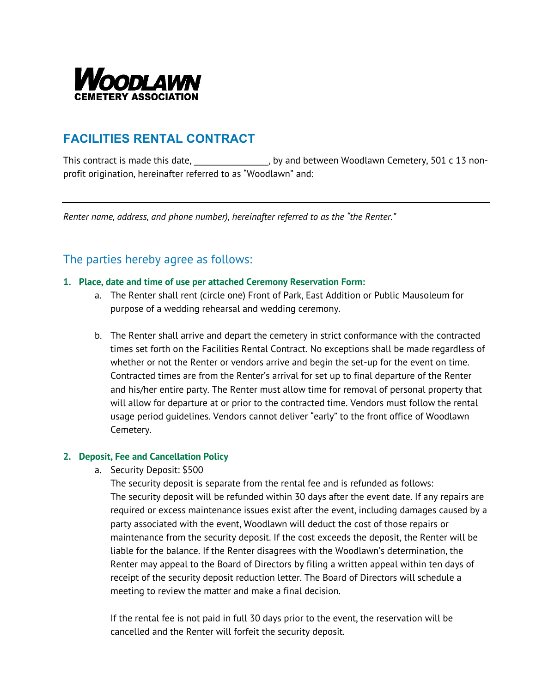

# **FACILITIES RENTAL CONTRACT**

This contract is made this date, This contract is made this date,  $\frac{1}{2}$  by and between Woodlawn Cemetery, 501 c 13 nonprofit origination, hereinafter referred to as "Woodlawn" and:

*Renter name, address, and phone number), hereinafter referred to as the "the Renter."*

## The parties hereby agree as follows:

#### **1. Place, date and time of use per attached Ceremony Reservation Form:**

- a. The Renter shall rent (circle one) Front of Park, East Addition or Public Mausoleum for purpose of a wedding rehearsal and wedding ceremony.
- b. The Renter shall arrive and depart the cemetery in strict conformance with the contracted times set forth on the Facilities Rental Contract. No exceptions shall be made regardless of whether or not the Renter or vendors arrive and begin the set-up for the event on time. Contracted times are from the Renter's arrival for set up to final departure of the Renter and his/her entire party. The Renter must allow time for removal of personal property that will allow for departure at or prior to the contracted time. Vendors must follow the rental usage period guidelines. Vendors cannot deliver "early" to the front office of Woodlawn Cemetery.

#### **2. Deposit, Fee and Cancellation Policy**

a. Security Deposit: \$500

The security deposit is separate from the rental fee and is refunded as follows: The security deposit will be refunded within 30 days after the event date. If any repairs are required or excess maintenance issues exist after the event, including damages caused by a party associated with the event, Woodlawn will deduct the cost of those repairs or maintenance from the security deposit. If the cost exceeds the deposit, the Renter will be liable for the balance. If the Renter disagrees with the Woodlawn's determination, the Renter may appeal to the Board of Directors by filing a written appeal within ten days of receipt of the security deposit reduction letter. The Board of Directors will schedule a meeting to review the matter and make a final decision.

If the rental fee is not paid in full 30 days prior to the event, the reservation will be cancelled and the Renter will forfeit the security deposit.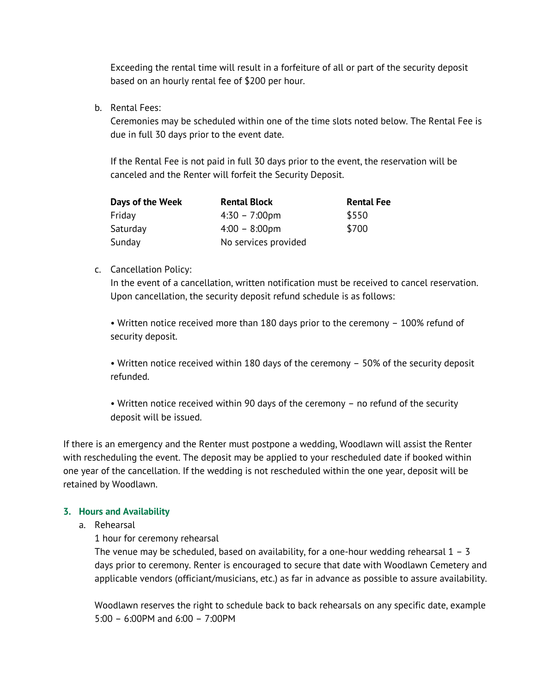Exceeding the rental time will result in a forfeiture of all or part of the security deposit based on an hourly rental fee of \$200 per hour.

b. Rental Fees:

Ceremonies may be scheduled within one of the time slots noted below. The Rental Fee is due in full 30 days prior to the event date.

If the Rental Fee is not paid in full 30 days prior to the event, the reservation will be canceled and the Renter will forfeit the Security Deposit.

| Days of the Week | <b>Rental Block</b>     | <b>Rental Fee</b> |
|------------------|-------------------------|-------------------|
| Friday           | $4:30 - 7:00 \text{pm}$ | \$550             |
| Saturday         | $4:00 - 8:00 \text{pm}$ | \$700             |
| Sunday           | No services provided    |                   |

### c. Cancellation Policy:

In the event of a cancellation, written notification must be received to cancel reservation. Upon cancellation, the security deposit refund schedule is as follows:

• Written notice received more than 180 days prior to the ceremony – 100% refund of security deposit.

• Written notice received within 180 days of the ceremony – 50% of the security deposit refunded.

• Written notice received within 90 days of the ceremony – no refund of the security deposit will be issued.

If there is an emergency and the Renter must postpone a wedding, Woodlawn will assist the Renter with rescheduling the event. The deposit may be applied to your rescheduled date if booked within one year of the cancellation. If the wedding is not rescheduled within the one year, deposit will be retained by Woodlawn.

### **3. Hours and Availability**

a. Rehearsal

1 hour for ceremony rehearsal

The venue may be scheduled, based on availability, for a one-hour wedding rehearsal  $1 - 3$ days prior to ceremony. Renter is encouraged to secure that date with Woodlawn Cemetery and applicable vendors (officiant/musicians, etc.) as far in advance as possible to assure availability.

Woodlawn reserves the right to schedule back to back rehearsals on any specific date, example 5:00 – 6:00PM and 6:00 – 7:00PM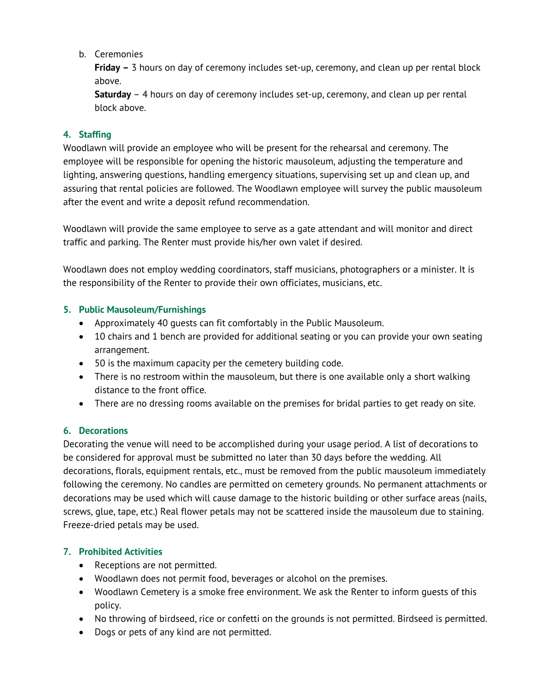b. Ceremonies

**Friday –** 3 hours on day of ceremony includes set-up, ceremony, and clean up per rental block above.

**Saturday** – 4 hours on day of ceremony includes set-up, ceremony, and clean up per rental block above.

### **4. Staffing**

Woodlawn will provide an employee who will be present for the rehearsal and ceremony. The employee will be responsible for opening the historic mausoleum, adjusting the temperature and lighting, answering questions, handling emergency situations, supervising set up and clean up, and assuring that rental policies are followed. The Woodlawn employee will survey the public mausoleum after the event and write a deposit refund recommendation.

Woodlawn will provide the same employee to serve as a gate attendant and will monitor and direct traffic and parking. The Renter must provide his/her own valet if desired.

Woodlawn does not employ wedding coordinators, staff musicians, photographers or a minister. It is the responsibility of the Renter to provide their own officiates, musicians, etc.

### **5. Public Mausoleum/Furnishings**

- Approximately 40 guests can fit comfortably in the Public Mausoleum.
- 10 chairs and 1 bench are provided for additional seating or you can provide your own seating arrangement.
- 50 is the maximum capacity per the cemetery building code.
- There is no restroom within the mausoleum, but there is one available only a short walking distance to the front office.
- There are no dressing rooms available on the premises for bridal parties to get ready on site.

# **6. Decorations**

Decorating the venue will need to be accomplished during your usage period. A list of decorations to be considered for approval must be submitted no later than 30 days before the wedding. All decorations, florals, equipment rentals, etc., must be removed from the public mausoleum immediately following the ceremony. No candles are permitted on cemetery grounds. No permanent attachments or decorations may be used which will cause damage to the historic building or other surface areas (nails, screws, glue, tape, etc.) Real flower petals may not be scattered inside the mausoleum due to staining. Freeze-dried petals may be used.

### **7. Prohibited Activities**

- Receptions are not permitted.
- Woodlawn does not permit food, beverages or alcohol on the premises.
- Woodlawn Cemetery is a smoke free environment. We ask the Renter to inform guests of this policy.
- No throwing of birdseed, rice or confetti on the grounds is not permitted. Birdseed is permitted.
- Dogs or pets of any kind are not permitted.